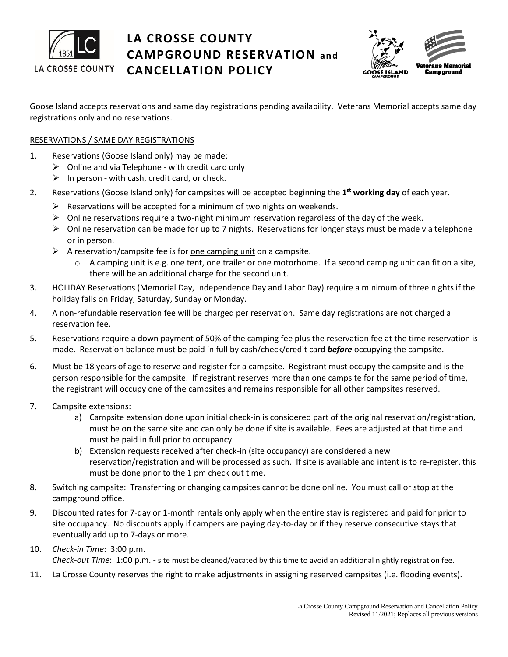

## **LA CROSSE COUNTY CAMPGROUND RESERVATION and CANCELLATION POLICY**



Goose Island accepts reservations and same day registrations pending availability. Veterans Memorial accepts same day registrations only and no reservations.

## RESERVATIONS / SAME DAY REGISTRATIONS

- 1. Reservations (Goose Island only) may be made:
	- $\triangleright$  Online and via Telephone with credit card only
	- $\triangleright$  In person with cash, credit card, or check.
- 2. Reservations (Goose Island only) for campsites will be accepted beginning the **1 st working day** of each year.
	- $\triangleright$  Reservations will be accepted for a minimum of two nights on weekends.
	- $\triangleright$  Online reservations require a two-night minimum reservation regardless of the day of the week.
	- $\triangleright$  Online reservation can be made for up to 7 nights. Reservations for longer stays must be made via telephone or in person.
	- $\triangleright$  A reservation/campsite fee is for one camping unit on a campsite.
		- $\circ$  A camping unit is e.g. one tent, one trailer or one motorhome. If a second camping unit can fit on a site, there will be an additional charge for the second unit.
- 3. HOLIDAY Reservations (Memorial Day, Independence Day and Labor Day) require a minimum of three nights if the holiday falls on Friday, Saturday, Sunday or Monday.
- 4. A non-refundable reservation fee will be charged per reservation. Same day registrations are not charged a reservation fee.
- 5. Reservations require a down payment of 50% of the camping fee plus the reservation fee at the time reservation is made. Reservation balance must be paid in full by cash/check/credit card *before* occupying the campsite.
- 6. Must be 18 years of age to reserve and register for a campsite. Registrant must occupy the campsite and is the person responsible for the campsite. If registrant reserves more than one campsite for the same period of time, the registrant will occupy one of the campsites and remains responsible for all other campsites reserved.
- 7. Campsite extensions:
	- a) Campsite extension done upon initial check-in is considered part of the original reservation/registration, must be on the same site and can only be done if site is available. Fees are adjusted at that time and must be paid in full prior to occupancy.
	- b) Extension requests received after check-in (site occupancy) are considered a new reservation/registration and will be processed as such. If site is available and intent is to re-register, this must be done prior to the 1 pm check out time.
- 8. Switching campsite: Transferring or changing campsites cannot be done online. You must call or stop at the campground office.
- 9. Discounted rates for 7-day or 1-month rentals only apply when the entire stay is registered and paid for prior to site occupancy. No discounts apply if campers are paying day-to-day or if they reserve consecutive stays that eventually add up to 7-days or more.
- 10. *Check-in Time*: 3:00 p.m. *Check-out Time*: 1:00 p.m. - site must be cleaned/vacated by this time to avoid an additional nightly registration fee.
- 11. La Crosse County reserves the right to make adjustments in assigning reserved campsites (i.e. flooding events).